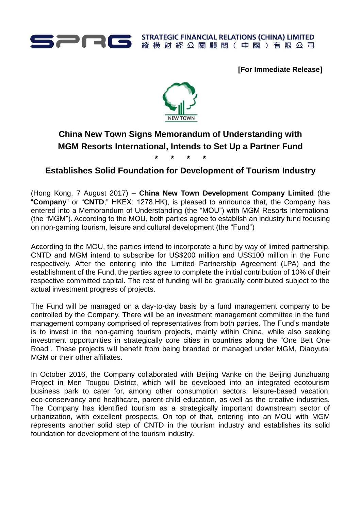

**[For Immediate Release]**



## **China New Town Signs Memorandum of Understanding with MGM Resorts International, Intends to Set Up a Partner Fund**

**\* \* \* \***

## **Establishes Solid Foundation for Development of Tourism Industry**

(Hong Kong, 7 August 2017) – **China New Town Development Company Limited** (the "**Company**" or "**CNTD**;" HKEX: 1278.HK), is pleased to announce that, the Company has entered into a Memorandum of Understanding (the "MOU") with MGM Resorts International (the "MGM"). According to the MOU, both parties agree to establish an industry fund focusing on non-gaming tourism, leisure and cultural development (the "Fund")

According to the MOU, the parties intend to incorporate a fund by way of limited partnership. CNTD and MGM intend to subscribe for US\$200 million and US\$100 million in the Fund respectively. After the entering into the Limited Partnership Agreement (LPA) and the establishment of the Fund, the parties agree to complete the initial contribution of 10% of their respective committed capital. The rest of funding will be gradually contributed subject to the actual investment progress of projects.

The Fund will be managed on a day-to-day basis by a fund management company to be controlled by the Company. There will be an investment management committee in the fund management company comprised of representatives from both parties. The Fund's mandate is to invest in the non-gaming tourism projects, mainly within China, while also seeking investment opportunities in strategically core cities in countries along the "One Belt One Road". These projects will benefit from being branded or managed under MGM, Diaoyutai MGM or their other affiliates.

In October 2016, the Company collaborated with Beijing Vanke on the Beijing Junzhuang Project in Men Tougou District, which will be developed into an integrated ecotourism business park to cater for, among other consumption sectors, leisure-based vacation, eco-conservancy and healthcare, parent-child education, as well as the creative industries. The Company has identified tourism as a strategically important downstream sector of urbanization, with excellent prospects. On top of that, entering into an MOU with MGM represents another solid step of CNTD in the tourism industry and establishes its solid foundation for development of the tourism industry.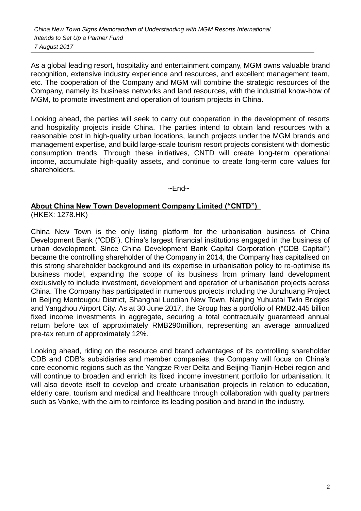*China New Town Signs Memorandum of Understanding with MGM Resorts International, Intends to Set Up a Partner Fund 7 August 2017*

As a global leading resort, hospitality and entertainment company, MGM owns valuable brand recognition, extensive industry experience and resources, and excellent management team, etc. The cooperation of the Company and MGM will combine the strategic resources of the Company, namely its business networks and land resources, with the industrial know-how of MGM, to promote investment and operation of tourism projects in China.

Looking ahead, the parties will seek to carry out cooperation in the development of resorts and hospitality projects inside China. The parties intend to obtain land resources with a reasonable cost in high-quality urban locations, launch projects under the MGM brands and management expertise, and build large-scale tourism resort projects consistent with domestic consumption trends. Through these initiatives, CNTD will create long-term operational income, accumulate high-quality assets, and continue to create long-term core values for shareholders.

 $~\sim$ End $~\sim$ 

## **About China New Town Development Company Limited ("CNTD")**  (HKEX: 1278.HK)

China New Town is the only listing platform for the urbanisation business of China Development Bank ("CDB"), China's largest financial institutions engaged in the business of urban development. Since China Development Bank Capital Corporation ("CDB Capital") became the controlling shareholder of the Company in 2014, the Company has capitalised on this strong shareholder background and its expertise in urbanisation policy to re-optimise its business model, expanding the scope of its business from primary land development exclusively to include investment, development and operation of urbanisation projects across China. The Company has participated in numerous projects including the Junzhuang Project in Beijing Mentougou District, Shanghai Luodian New Town, Nanjing Yuhuatai Twin Bridges and Yangzhou Airport City. As at 30 June 2017, the Group has a portfolio of RMB2.445 billion fixed income investments in aggregate, securing a total contractually guaranteed annual return before tax of approximately RMB290million, representing an average annualized pre-tax return of approximately 12%.

Looking ahead, riding on the resource and brand advantages of its controlling shareholder CDB and CDB's subsidiaries and member companies, the Company will focus on China's core economic regions such as the Yangtze River Delta and Beijing-Tianjin-Hebei region and will continue to broaden and enrich its fixed income investment portfolio for urbanisation. It will also devote itself to develop and create urbanisation projects in relation to education, elderly care, tourism and medical and healthcare through collaboration with quality partners such as Vanke, with the aim to reinforce its leading position and brand in the industry.